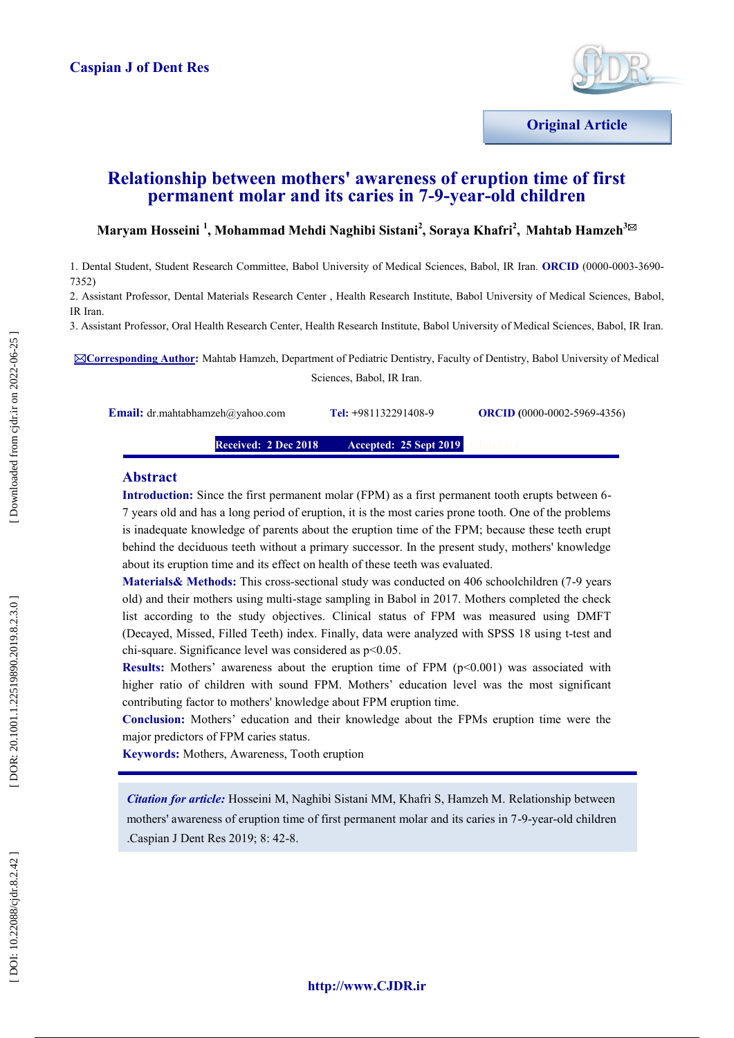

## **Relationship between mothers' awareness of eruption time of first permanent molar and its caries in 7 - 9 -year -old children**

### $\mathbf{M}$ aryam Hosseini <sup>1</sup>, Mohammad Mehdi Naghibi Sistani<sup>2</sup>, Soraya Khafri<sup>2</sup>, Mahtab Hamzeh $^{3\boxtimes}$

1. Dental Student, Student Research Committee, Babol University of Medical Sciences, Babol, IR Iran. **ORCID** (0000 -0003 -3690 - 7352)

2. Assistant Professor, Dental Materials Research Center , Health Research Institute, Babol University of Medical Sciences, Babol, IR Iran.

3. Assistant Professor, Oral Health Research Center, Health Research Institute, Babol University of Medical Sciences, Babol, IR Iran.

**Corresponding Author:** Mahtab Hamzeh, Department of Pediatric Dentistry, Faculty of Dentistry, Babol University of Medical Sciences, Babol, IR Iran.

**Email:** dr.mahtabhamzeh@yahoo.com

**+**981132291408 -

9 **ORCID** (0000-0002-5969-4356)

**Received: 2 Dec 201 8 Accepted: 25 Sept 2019** 

#### **Abstract**

**Introduction:** Since the first permanent molar (FPM) as a first permanent tooth erupts between 6 - 7 years old and has a long period of eruption, it is the most caries prone tooth. One of the problems is inadequate knowledge of parents about the eruption time of the FPM; because these teeth erupt behind the deciduous teeth without a primary successor. In the present study, mothers' knowledge about its eruption time and its effect on health of these teeth was evaluated.

Materials& Methods: This cross-sectional study was conducted on 406 schoolchildren (7-9 years old) and their mothers using multi -stage sampling in Babol in 2017. Mothers completed the check list according to the study objectives. Clinical status of FPM was measured using DMFT (Decayed, Missed, Filled Teeth) index. Finally, data were analyzed with SPSS 18 using t -test and chi -square. Significance level was considered as p<0.05.

**Results:** Mothers' awareness about the eruption time of FPM (p<0.001) was associated with higher ratio of children with sound FPM. Mothers' education level was the most significant contributing factor to mothers' knowledge about FPM eruption time.

**Conclusion:** Mothers' education and their knowledge about the FPMs eruption time were the major predictors of FPM caries status.

**Keywords:** Mothers, Awareness, Tooth eruption

*Citation for article:* Hosseini M, Naghibi Sistani MM, Khafri S, Hamzeh M. Relationship between mothers' awareness of eruption time of first permanent molar and its caries in 7-9-year-old children .Caspian J Dent Res 2019; 8: 42 -8.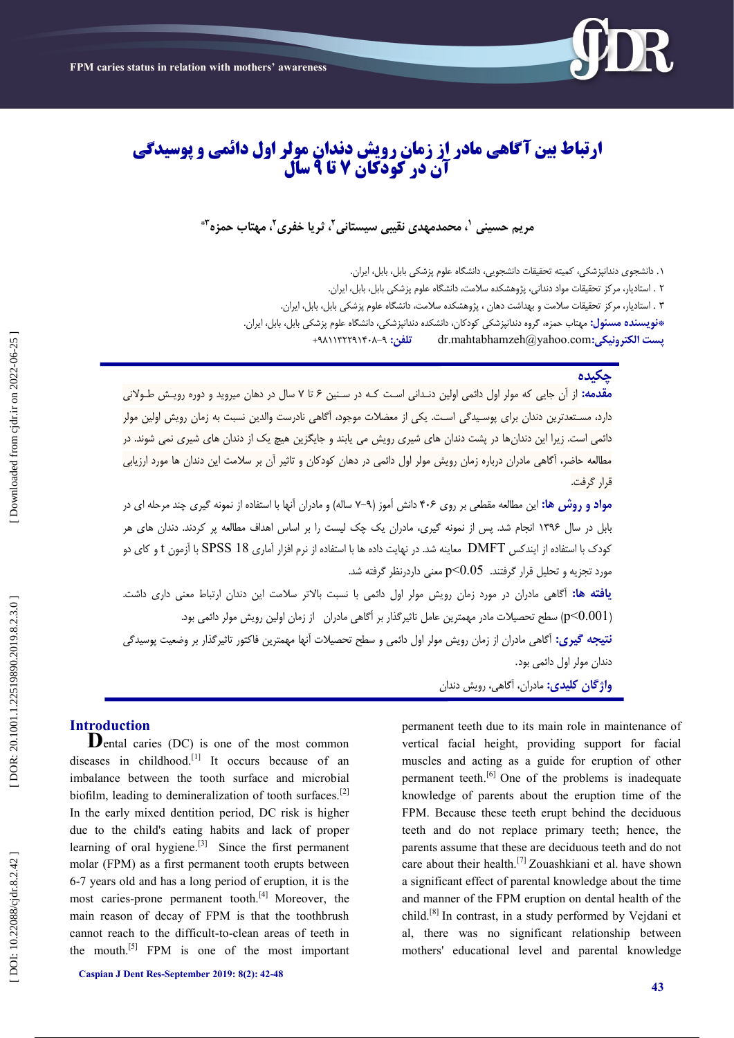

# **ارتباط بیه آگاهی مادر از زمان رویش دودان مولر اول دائمی و پوسیدگی سال تا 9 آن در کودکان 7**

مریم حسینی <sup>۱</sup>، محمدمهدی نقیبی سیستانی <sup>۲</sup>، ثریا خفری <sup>۲</sup>، مهتاب حمزه ٔ <sup>\*</sup>

١. دانشجوی دندانپزشکی، کمیته تحقیقات دانشجویی، دانشگاه علوم پزشکی بابل، بابل، ایران. ۲ . استادیار، مرکز تحقیقات مواد دندانی، پژوهشکده سلامت، دانشگاه علوم پزشکی بابل، بابل، ایران. ۳ . استادیار، مرکز تحقیقات سلامت و بهداشت دهان ، پژوهشکده سلامت، دانشگاه علوم پزشکی بابل، بابل، ایران.

**پست الکتريویکی:**com.yahoo@mahtabhamzeh.dr **تلفه:** +٩٨۱۱۳۲۲٩۱۴0٨-٩ **\*وًیسىدٌ مسئًل:** مُتاب حمش،ٌ گزيٌ دوداوپششکی کًدکان، داوشکدٌ دوداوپششکی، داوشگاٌ علًم پششکی بابل، بابل، ایزان.

### **چکیدٌ**

<mark>مقدمه:</mark> از ان جایی که مولر اول دائمی اولین دنـدانی اسـت کـه در سـنین ۶ تا ۷ سال در دهان میروید و دوره رویـش طـولانی دارد، مسـتعدترین دندان برای پوسـیدگی اسـت. یکی از معضلات موجود، آگاهی نادرست والدین نسبت به زمان رویش اولین مولر دائمی است. زیرا این دندانِ ها در پشت دندان های شیری رویش می یابند و جایگزین هیچ یک از دندان های شیری نمی شوند. در مطالعه حاضر، آگاهی مادران درباره زمان رویش مولر اول دائمی در دهان کودکان و تاثیر آن بر سلامت این دندان ها مورد ارزیابی قزار گزفت.

**مواد و روش ها:** اين مطالعه مقطعى بر روى ۴۰۶ دانش اموز (۹–۷ ساله) و مادران انها با استفاده از نمونه گيرى چند مرحله اى در بابل در سال ۱۳۹۶ انجام شد. پس از نمونه گیری، مادران یک چک لیست را بر اساس اهداف مطالعه پر کردند. دندان های هر کودک با استفاده از ایندکس DMFT معاینه شد. در نهایت داده ها با استفاده از نرم افزار آماری 18 SPSS با آزمون t و کای دو مورد تجزیه و تحلیل قرار گرفتند. p<0.05 معنی داردرنظر گرفته شد. **یافته ها:** اگاهی مادران در مورد زمان رویش مولر اول دائمی با نسبت بالاتر سلامت این دندان ارتباط معنی داری داشت. سطح تحصیلات مادر مهمترین عامل تاثیرگذار بر آگاهی مادران  $\,$  از زمان اولین رویش مولر دائمی بود.  $\,(p< 0.001)$ ن**تیجه گیری:** اگاهی مادران از زمان رویش مولر اول دائمی و سطح تحصیلات انها مهمترین فاکتور تاثیرگذار بر وضعیت پوسیدگی دندان مولر اول دائمی بود. **ياژگبن كلیدی:** مادران، آگاَی، ريیش دودان

**Introduction**<br>**D**ental caries (DC) is one of the most common diseases in childhood.<sup>[1]</sup> It occurs because of an imbalance between the tooth surface and microbial biofilm, leading to demineralization of tooth surfaces.<sup>[2]</sup> In the early mixed dentition period, DC risk is higher due to the child's eating habits and lack of proper learning of oral hygiene.<sup>[3]</sup> Since the first permanent molar (FPM) as a first permanent tooth erupts between 6-7 years old and has a long period of eruption, it is the most caries-prone permanent tooth.<sup>[4]</sup> Moreover, the main reason of decay of FPM is that the toothbrush cannot reach to the difficult -to -clean areas of teeth in the mouth.[5] FPM is one of the most important

**Caspian J Dent Res -September 2019: 8 ( 2): 42 -48** 

permanent teeth due to its main role in maintenance of vertical facial height, providing support for facial muscles and acting as a guide for eruption of other permanent teeth.<sup>[6]</sup> One of the problems is inadequate knowledge of parents about the eruption time of the FPM. Because these teeth erupt behind the deciduous teeth and do not replace primary teeth; hence, the parents assume that these are deciduous teeth and do not care about their health.[7] Zouashkiani et al. have shown a significant effect of parental knowledge about the time and manner of the FPM eruption on dental health of the child.[8] In contrast, in a study performed by Vejdani et al, there was no significant relationship between mothers' educational level and parental knowledge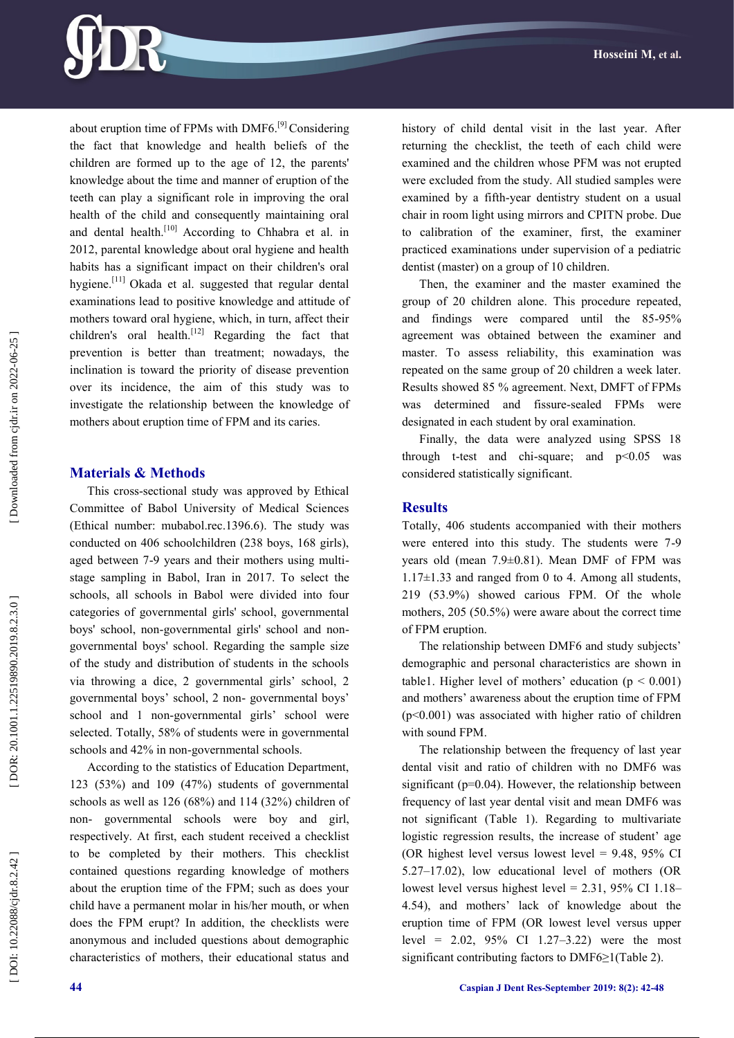

about eruption time of FPMs with DMF6.[9] Considering the fact that knowledge and health beliefs of the children are formed up to the age of 12, the parents' knowledge about the time and manner of eruption of the teeth can play a significant role in improving the oral health of the child and consequently maintaining oral and dental health.<sup>[10]</sup> According to Chhabra et al. in 2012, parental knowledge about oral hygiene and health habits has a significant impact on their children's oral hygiene.<sup>[11]</sup> Okada et al. suggested that regular dental examinations lead to positive knowledge and attitude of mothers toward oral hygiene, which, in turn, affect their children's oral health.<sup>[12]</sup> Regarding the fact that prevention is better than treatment; nowadays, the inclination is toward the priority of disease prevention over its incidence, the aim of this study was to investigate the relationship between the knowledge of mothers about eruption time of FPM and its caries.

#### **Materials & Methods**

This cross -sectional study was approved by Ethical Committee of Babol University of Medical Sciences (Ethical number: mubabol.rec.1396.6). The study was conducted on 406 schoolchildren (238 boys, 168 girls), aged between 7 -9 years and their mothers using multi stage sampling in Babol, Iran in 201 7. To select the schools, all schools in Babol were divided into four categories of governmental girls' school, governmental boys' school, non -governmental girls' school and non governmental boys' school. Regarding the sample size of the study and distribution of students in the schools via throwing a dice, 2 governmental girls' school, 2 governmental boys' school, 2 non - governmental boys' school and 1 non -governmental girls' school were selected. Totally, 58% of students were in governmental schools and 42% in non -governmental schools.

According to the statistics of Education Department, 123 (53%) and 109 (47%) students of governmental schools as well as 126 (68%) and 114 (32%) children of non - governmental schools were boy and girl, respectively. At first, each student received a checklist to be completed by their mothers. This checklist contained questions regarding knowledge of mothers about the eruption time of the FPM; such as does your child have a permanent molar in his/her mouth, or when does the FPM erupt? In addition, the checklists were anonymous and included questions about demographic characteristics of mothers, their educational status and

history of child dental visit in the last year. After returning the checklist, the teeth of each child were examined and the children whose PFM was not erupted were excluded from the study. All studied samples were examined by a fifth -year dentistry student on a usual chair in room light using mirrors and CPITN probe. Due to calibration of the examiner, first, the examiner practiced examinations under supervision of a pediatric dentist (master) on a group of 10 children.

Then, the examiner and the master examined the group of 20 children alone. This procedure repeated, and findings were compared until the 85 -95% agreement was obtained between the examiner and master. To assess reliability, this examination was repeated on the same group of 20 children a week later. Results showed 85 % agreement. Next, DMFT of FPMs was determined and fissure -sealed FPMs were designated in each student by oral examination.

Finally, the data were analyzed using SPSS 18 through t-test and chi-square; and  $p<0.05$  was considered statistically significant.

#### **Results**

Totally, 406 students accompanied with their mothers were entered into this study. The students were 7 -9 years old (mean 7.9±0.81). Mean DMF of FPM was  $1.17\pm1.33$  and ranged from 0 to 4. Among all students, 219 (53.9%) showed carious FPM. Of the whole mothers, 205 (50.5%) were aware about the correct time of FPM eruption.

The relationship between DMF6 and study subjects' demographic and personal characteristics are shown in table1. Higher level of mothers' education ( $p < 0.001$ ) and mothers' awareness about the eruption time of FPM (p<0.001) was associated with higher ratio of children with sound FPM.

The relationship between the frequency of last year dental visit and ratio of children with no DMF6 was significant ( $p=0.04$ ). However, the relationship between frequency of last year dental visit and mean DMF6 was not significant (Table 1). Regarding to multivariate logistic regression results, the increase of student' age (OR highest level versus lowest level =  $9.48$ ,  $95\%$  CI 5.27 –17.02), low educational level of mothers (OR lowest level versus highest level =  $2.31$ ,  $95\%$  CI 1.18– 4.54), and mothers' lack of knowledge about the eruption time of FPM (OR lowest level versus upper level = 2.02, 95% CI 1.27 –3.22) were the most significant contributing factors to DMF6≥1(Table 2).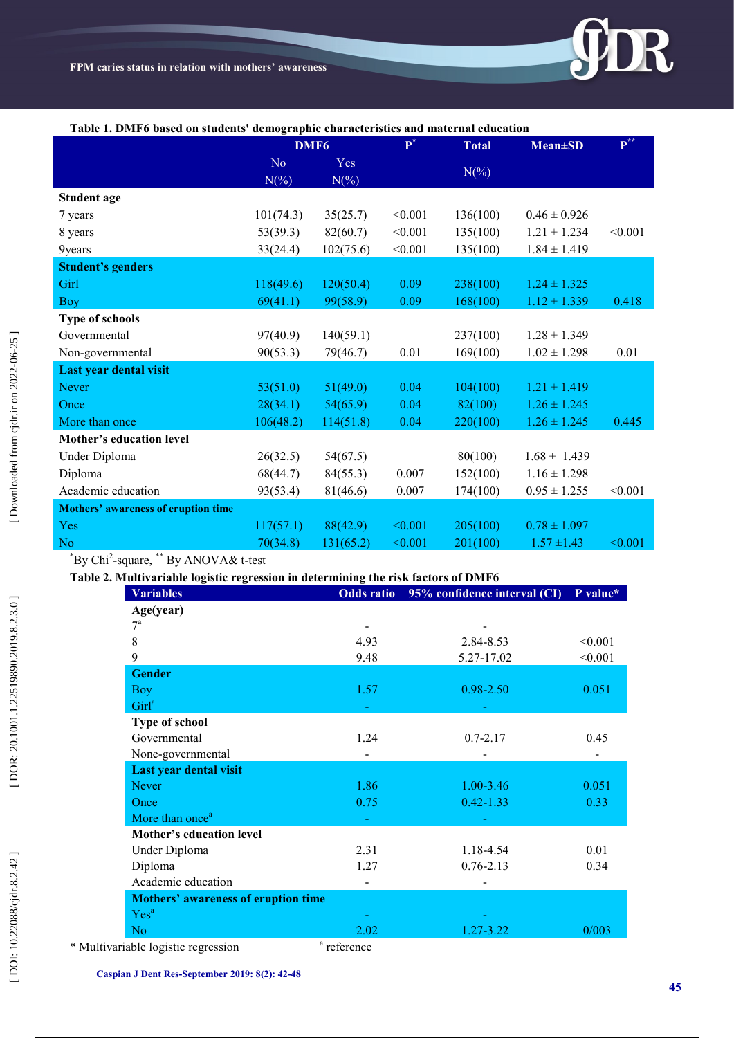

#### **Table 1. DMF6 based on students' demographic characteristics and maternal education**

|                                            | DMF <sub>6</sub> |                | ${\bf P}^*$ | <b>Total</b> | $Mean \pm SD$    | $\mathbf{P}^{**}$ |
|--------------------------------------------|------------------|----------------|-------------|--------------|------------------|-------------------|
|                                            | No<br>$N(\% )$   | Yes<br>$N(\%)$ |             | $N(\%)$      |                  |                   |
| <b>Student age</b>                         |                  |                |             |              |                  |                   |
| 7 years                                    | 101(74.3)        | 35(25.7)       | < 0.001     | 136(100)     | $0.46 \pm 0.926$ |                   |
| 8 years                                    | 53(39.3)         | 82(60.7)       | < 0.001     | 135(100)     | $1.21 \pm 1.234$ | < 0.001           |
| 9years                                     | 33(24.4)         | 102(75.6)      | < 0.001     | 135(100)     | $1.84 \pm 1.419$ |                   |
| <b>Student's genders</b>                   |                  |                |             |              |                  |                   |
| Girl                                       | 118(49.6)        | 120(50.4)      | 0.09        | 238(100)     | $1.24 \pm 1.325$ |                   |
| <b>Boy</b>                                 | 69(41.1)         | 99(58.9)       | 0.09        | 168(100)     | $1.12 \pm 1.339$ | 0.418             |
| <b>Type of schools</b>                     |                  |                |             |              |                  |                   |
| Governmental                               | 97(40.9)         | 140(59.1)      |             | 237(100)     | $1.28 \pm 1.349$ |                   |
| Non-governmental                           | 90(53.3)         | 79(46.7)       | 0.01        | 169(100)     | $1.02 \pm 1.298$ | 0.01              |
| Last year dental visit                     |                  |                |             |              |                  |                   |
| <b>Never</b>                               | 53(51.0)         | 51(49.0)       | 0.04        | 104(100)     | $1.21 \pm 1.419$ |                   |
| Once                                       | 28(34.1)         | 54(65.9)       | 0.04        | 82(100)      | $1.26 \pm 1.245$ |                   |
| More than once                             | 106(48.2)        | 114(51.8)      | 0.04        | 220(100)     | $1.26 \pm 1.245$ | 0.445             |
| Mother's education level                   |                  |                |             |              |                  |                   |
| Under Diploma                              | 26(32.5)         | 54(67.5)       |             | 80(100)      | $1.68 \pm 1.439$ |                   |
| Diploma                                    | 68(44.7)         | 84(55.3)       | 0.007       | 152(100)     | $1.16 \pm 1.298$ |                   |
| Academic education                         | 93(53.4)         | 81(46.6)       | 0.007       | 174(100)     | $0.95 \pm 1.255$ | < 0.001           |
| <b>Mothers' awareness of eruption time</b> |                  |                |             |              |                  |                   |
| Yes                                        | 117(57.1)        | 88(42.9)       | < 0.001     | 205(100)     | $0.78 \pm 1.097$ |                   |
| N <sub>o</sub>                             | 70(34.8)         | 131(65.2)      | < 0.001     | 201(100)     | $1.57 \pm 1.43$  | < 0.001           |

\*By Chi 2 -square, \*\* By ANOVA& t -test

### **Table 2. Multivariable logistic regression in determining the risk factors of DMF6**

| <b>Variables</b>                           | <b>Odds</b> ratio      | 95% confidence interval (CI) | P value* |
|--------------------------------------------|------------------------|------------------------------|----------|
| Age(year)                                  |                        |                              |          |
| $7^{\mathrm{a}}$                           |                        |                              |          |
| 8                                          | 4.93                   | 2.84-8.53                    | < 0.001  |
| 9                                          | 9.48                   | 5.27-17.02                   | < 0.001  |
| <b>Gender</b>                              |                        |                              |          |
| <b>Boy</b>                                 | 1.57                   | $0.98 - 2.50$                | 0.051    |
| Girl <sup>a</sup>                          |                        |                              |          |
| <b>Type of school</b>                      |                        |                              |          |
| Governmental                               | 1.24                   | $0.7 - 2.17$                 | 0.45     |
| None-governmental                          |                        |                              |          |
| Last year dental visit                     |                        |                              |          |
| <b>Never</b>                               | 1.86                   | $1.00 - 3.46$                | 0.051    |
| Once                                       | 0.75                   | $0.42 - 1.33$                | 0.33     |
| More than once <sup>a</sup>                |                        |                              |          |
| Mother's education level                   |                        |                              |          |
| Under Diploma                              | 2.31                   | 1.18-4.54                    | 0.01     |
| Diploma                                    | 1.27                   | $0.76 - 2.13$                | 0.34     |
| Academic education                         |                        |                              |          |
| <b>Mothers' awareness of eruption time</b> |                        |                              |          |
| Yes <sup>a</sup>                           |                        |                              |          |
| N <sub>o</sub>                             | 2.02                   | 1.27-3.22                    | 0/003    |
| uriable logistic regression                | <sup>a</sup> reference |                              |          |

\* Multivariable logistic regression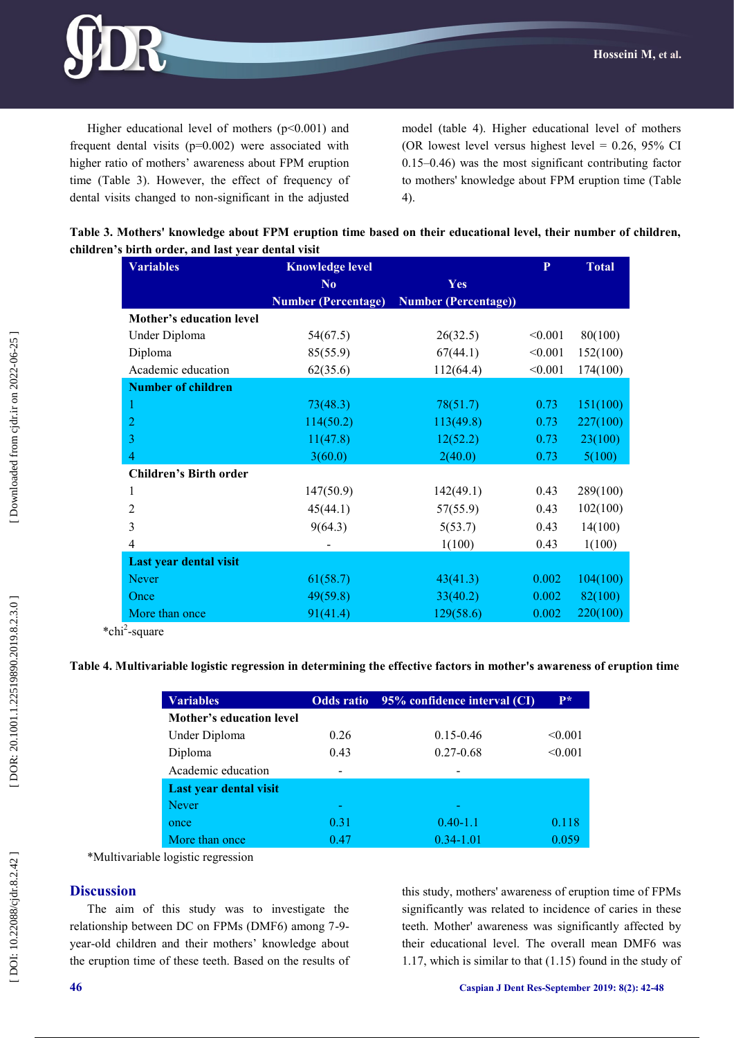

Higher educational level of mothers  $(p<0.001)$  and frequent dental visits  $(p=0.002)$  were associated with higher ratio of mothers' awareness about FPM eruption time (Table 3). However, the effect of frequency of dental visits changed to non -significant in the adjusted model (table 4). Higher educational level of mothers (OR lowest level versus highest level =  $0.26$ ,  $95\%$  CI 0.15 –0.46) was the most significant contributing factor to mothers' knowledge about FPM eruption time (Table 4).

| Table 3. Mothers' knowledge about FPM eruption time based on their educational level, their number of children, |  |
|-----------------------------------------------------------------------------------------------------------------|--|
| children's birth order, and last year dental visit                                                              |  |

| <b>Variables</b>              | <b>Knowledge level</b>     |                             | P       | <b>Total</b> |
|-------------------------------|----------------------------|-----------------------------|---------|--------------|
|                               | No.                        | Yes                         |         |              |
|                               | <b>Number (Percentage)</b> | <b>Number (Percentage))</b> |         |              |
| Mother's education level      |                            |                             |         |              |
| Under Diploma                 | 54(67.5)                   | 26(32.5)                    | < 0.001 | 80(100)      |
| Diploma                       | 85(55.9)                   | 67(44.1)                    | < 0.001 | 152(100)     |
| Academic education            | 62(35.6)                   | 112(64.4)                   | < 0.001 | 174(100)     |
| <b>Number of children</b>     |                            |                             |         |              |
|                               | 73(48.3)                   | 78(51.7)                    | 0.73    | 151(100)     |
| 2                             | 114(50.2)                  | 113(49.8)                   | 0.73    | 227(100)     |
| 3                             | 11(47.8)                   | 12(52.2)                    | 0.73    | 23(100)      |
| 4                             | 3(60.0)                    | 2(40.0)                     | 0.73    | 5(100)       |
| <b>Children's Birth order</b> |                            |                             |         |              |
| 1                             | 147(50.9)                  | 142(49.1)                   | 0.43    | 289(100)     |
| $\overline{2}$                | 45(44.1)                   | 57(55.9)                    | 0.43    | 102(100)     |
| 3                             | 9(64.3)                    | 5(53.7)                     | 0.43    | 14(100)      |
| 4                             |                            | 1(100)                      | 0.43    | 1(100)       |
| Last year dental visit        |                            |                             |         |              |
| <b>Never</b>                  | 61(58.7)                   | 43(41.3)                    | 0.002   | 104(100)     |
| Once                          | 49(59.8)                   | 33(40.2)                    | 0.002   | 82(100)      |
| More than once<br>$\cdot$     | 91(41.4)                   | 129(58.6)                   | 0.002   | 220(100)     |

\*chi 2 -square

#### **Table 4. Multivariable logistic regression in determining the effective factors in mother's awareness of eruption time**

| <b>Variables</b>         |      | Odds ratio 95% confidence interval (CI) | $P*$    |
|--------------------------|------|-----------------------------------------|---------|
| Mother's education level |      |                                         |         |
| Under Diploma            | 0.26 | $0.15 - 0.46$                           | < 0.001 |
| Diploma                  | 0.43 | $0.27 - 0.68$                           | < 0.001 |
| Academic education       |      |                                         |         |
| Last year dental visit   |      |                                         |         |
| <b>Never</b>             |      |                                         |         |
| once                     | 0.31 | $0.40 - 1.1$                            | 0.118   |
| More than once           | 0.47 | $0.34 - 1.01$                           | 0 059   |

\*Multivariable logistic regression

#### **Discussion**

The aim of this study was to investigate the relationship between DC on FPMs (DMF6) among 7 - 9 year -old children and their mothers' knowledge about the eruption time of these teeth. Based on the results of

this study, mothers' awareness of eruption time of FPMs significantly was related to incidence of caries in these teeth. Mother' awareness was significantly affected by their educational level. The overall mean DMF6 was 1.17, which is similar to that (1.15) found in the study of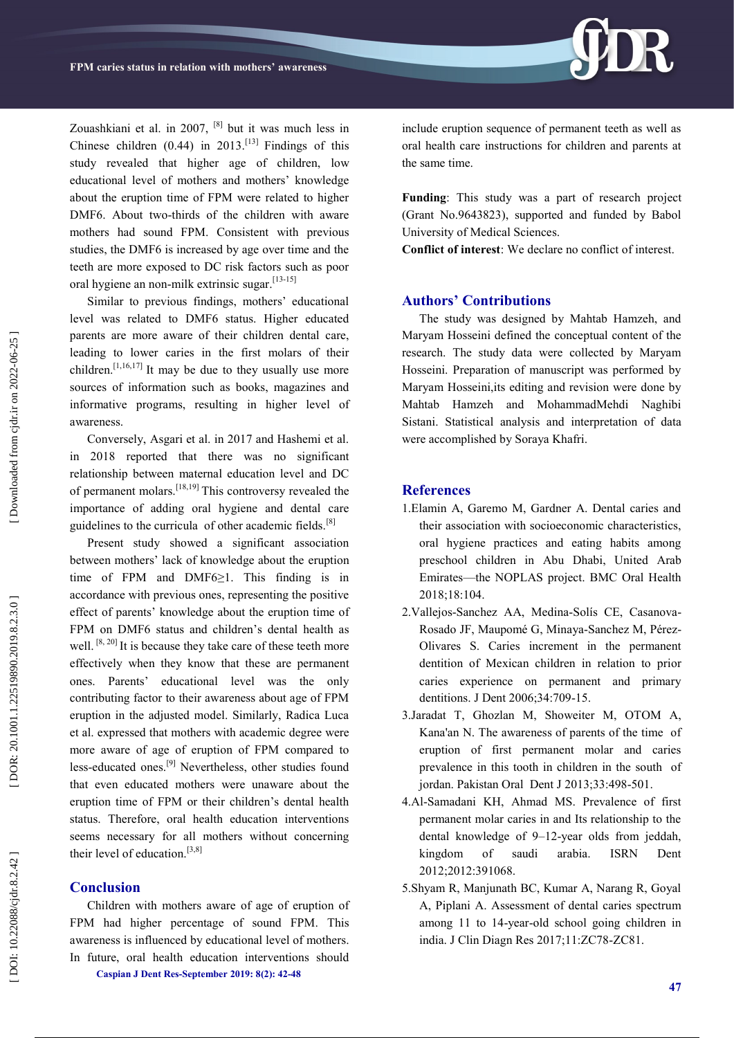Zouashkiani et al. in 2007, [8] but it was much less in Chinese children  $(0.44)$  in 2013.<sup>[13]</sup> Findings of this study revealed that higher age of children, low educational level of mothers and mothers' knowledge about the eruption time of FPM were related to higher DMF6. About two -thirds of the children with aware mothers had sound FPM. Consistent with previous studies, the DMF6 is increased by age over time and the teeth are more exposed to DC risk factors such as poor oral hygiene an non-milk extrinsic sugar.<sup>[13-15]</sup>

Similar to previous findings, mothers' educational level was related to DMF6 status. Higher educated parents are more aware of their children dental care, leading to lower caries in the first molars of their children.<sup>[1,16,17]</sup> It may be due to they usually use more sources of information such as books, magazines and informative programs, resulting in higher level of awareness.

Conversely, Asgari et al. in 2017 and Hashemi et al. in 2018 reported that there was no significant relationship between maternal education level and DC of permanent molars.[18,19] This controversy revealed the importance of adding oral hygiene and dental care guidelines to the curricula of other academic fields. $[8]$ 

Present study showed a significant association between mothers' lack of knowledge about the eruption time of FPM and DMF6≥1. This finding is in accordance with previous ones, representing the positive effect of parents' knowledge about the eruption time of FPM on DMF6 status and children's dental health as well.  $[8, 20]$  It is because they take care of these teeth more effectively when they know that these are permanent ones. Parents' educational level was the only contributing factor to their awareness about age of FPM eruption in the adjusted model. Similarly, Radica Luca et al. expressed that mothers with academic degree were more aware of age of eruption of FPM compared to less-educated ones.<sup>[9]</sup> Nevertheless, other studies found that even educated mothers were unaware about the eruption time of FPM or their children's dental health status. Therefore, oral health education interventions seems necessary for all mothers without concerning their level of education.[3,8]

#### **Conclusion**

**Caspian J Dent Res -September 2019: 8 ( 2): 42 -48**  Children with mothers aware of age of eruption of FPM had higher percentage of sound FPM. This awareness is influenced by educational level of mothers. In future, oral health education interventions should

include eruption sequence of permanent teeth as well as oral health care instructions for children and parents at the same time.

**Funding**: This study was a part of research project (Grant No.9643823), supported and funded by Babol University of Medical Sciences.

**Conflict of interest**: We declare no conflict of interest.

#### **Authors' Contributions**

The study was designed by Mahtab Hamzeh, and Maryam Hosseini defined the conceptual content of the research. The study data were collected by Maryam Hosseini. Preparation of manuscript was performed by Maryam Hosseini,its editing and revision were done by Mahtab Hamzeh and MohammadMehdi Naghibi Sistani. Statistical analysis and interpretation of data were accomplished by Soraya Khafri.

#### **References**

- 1.Elamin A, Garemo M, Gardner A. Dental caries and their association with socioeconomic characteristics, oral hygiene practices and eating habits among preschool children in Abu Dhabi, United Arab Emirates —the NOPLAS project. BMC Oral Health 2018;18:104.
- 2.Vallejos -Sanchez AA, Medina -Solís CE, Casanova Rosado JF, Maupomé G, Minaya -Sanchez M, Pérez - Olivares S. Caries increment in the permanent dentition of Mexican children in relation to prior caries experience on permanent and primary dentitions. J Dent 2006;34:709 -15.
- 3.Jaradat T, Ghozlan M, Showeiter M, OTOM A, Kana'an N. The awareness of parents of the time of eruption of first permanent molar and caries prevalence in this tooth in children in the south of jordan. Pakistan Oral Dent J 2013;33:498 -501.
- 4.Al -Samadani KH, Ahmad MS. Prevalence of first permanent molar caries in and Its relationship to the dental knowledge of 9 –12 -year olds from jeddah, kingdom of saudi arabia. ISRN Dent 2012;2012:391068.
- 5.Shyam R, Manjunath BC, Kumar A, Narang R, Goyal A, Piplani A. Assessment of dental caries spectrum among 11 to 14 -year -old school going children in india. J Clin Diagn Res 2017;11:ZC78 -ZC81.